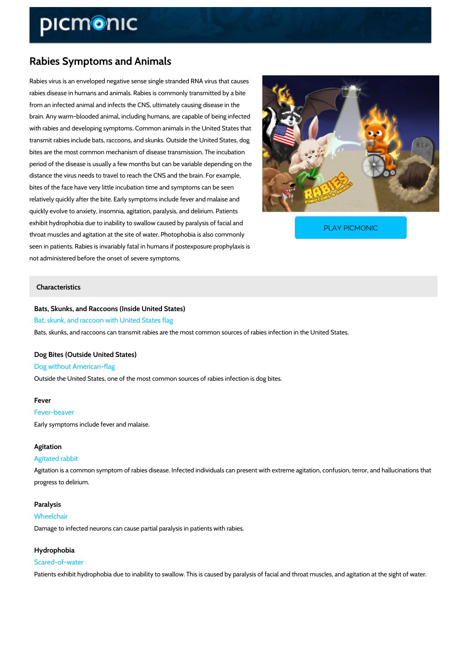# Rabies Symptoms and Animals

Rabies virus is an enveloped negative sense single stranded RNA virus that causes rabies disease in humans and animals. Rabies is commonly transmitted by a bite from an infected animal and infects the CNS, ultimately causing disease in the brain. Any warm-blooded animal, including humans, are capable of being infected with rabies and developing symptoms. Common animals in the United States that transmit rabies include bats, raccoons, and skunks. Outside the United States, dog bites are the most common mechanism of disease transmission. The incubation period of the disease is usually a few months but can be variable depending on the distance the virus needs to travel to reach the CNS and the brain. For example, bites of the face have very little incubation time and symptoms can be seen relatively quickly after the bite. Early symptoms include fever and malaise and quickly evolve to anxiety, insomnia, agitation, paralysis, and delirium. Patients exhibit hydrophobia due to inability to swallow caused by throat muscles and agitation at the site of water. Photoph seen in patients. Rabies is invariably fatal in humans if postexposure prophylaxis is PLAY PICMONIC

not administered before the onset of severe symptoms.

### Characteristics

Bats, Skunks, and Raccoons (Inside United States) Bat, skunk, and raccoon with United States flag Bats, skunks, and raccoons can transmit rabies are the most common sources of rabies infecti

Dog Bites (Outside United States) Dog without American-flag Outside the United States, one of the most common sources of rabies infection is dog bites.

#### Fever

Fever-beaver Early symptoms include fever and malaise.

#### Agitation

#### Agitated rabbit

Agitation is a common symptom of rabies disease. Infected individuals can present with extrer progress to delirium.

### Paralysis

Wheelchair

Damage to infected neurons can cause partial paralysis in patients with rabies.

#### Hydrophobia

Scared-of-water Patients exhibit hydrophobia due to inability to swallow. This is caused by paralysis of facial